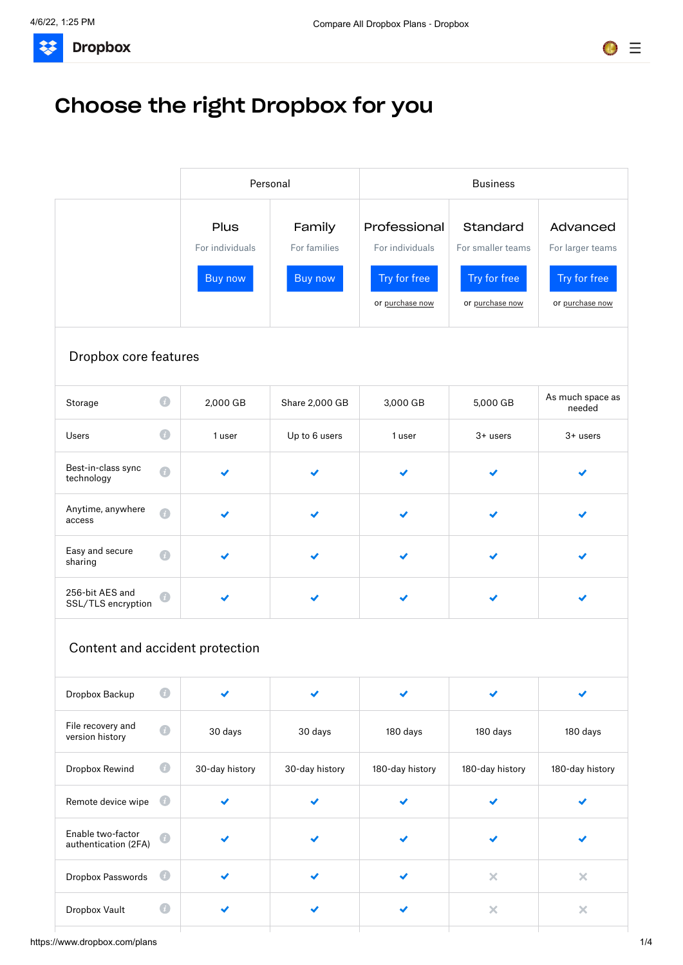**Dropbox** 33



# Choose the right Dropbox for you

|                                           |                | Personal        |                | <b>Business</b> |                   |                            |
|-------------------------------------------|----------------|-----------------|----------------|-----------------|-------------------|----------------------------|
|                                           |                | Plus            | Family         | Professional    | Standard          | Advanced                   |
|                                           |                | For individuals | For families   | For individuals | For smaller teams | For larger teams           |
|                                           |                | Buy now         | Buy now        | Try for free    | Try for free      | Try for free               |
|                                           |                |                 |                | or purchase now | or purchase now   | or purchase now            |
| Dropbox core features                     |                |                 |                |                 |                   |                            |
| Storage                                   | $\bigcirc$     | 2,000 GB        | Share 2,000 GB | 3,000 GB        | 5,000 GB          | As much space as<br>needed |
| Users                                     | $\bigcirc$     | 1 user          | Up to 6 users  | 1 user          | 3+ users          | $3 +$ users                |
| Best-in-class sync<br>technology          | $\bigcirc$     |                 |                |                 |                   |                            |
| Anytime, anywhere<br>access               | $\overline{u}$ |                 |                |                 | ✔                 |                            |
| Easy and secure<br>sharing                | $\overline{a}$ |                 |                |                 | ✔                 |                            |
| 256-bit AES and<br>SSL/TLS encryption     | $\mathcal{L}$  | ✔               | ✔              |                 |                   |                            |
| Content and accident protection           |                |                 |                |                 |                   |                            |
| Dropbox Backup                            | $\bullet$      |                 |                |                 |                   |                            |
| File recovery and<br>version history      | $\bullet$      | 30 days         | 30 days        | 180 days        | 180 days          | 180 days                   |
| Dropbox Rewind                            | $\bigcirc$     | 30-day history  | 30-day history | 180-day history | 180-day history   | 180-day history            |
| Remote device wipe                        | $\bigcirc$     | ✔               | ✔              |                 |                   |                            |
| Enable two-factor<br>authentication (2FA) | $\sqrt{ }$     |                 |                |                 | ✔                 |                            |
| Dropbox Passwords                         | $\bullet$      |                 |                |                 | $\pmb{\times}$    | $\pmb{\times}$             |
| Dropbox Vault                             | $\bigcirc$     | ✔               | ✔              |                 | $\pmb{\times}$    | $\pmb{\times}$             |
|                                           |                |                 |                |                 |                   |                            |

https://www.dropbox.com/plans 1/4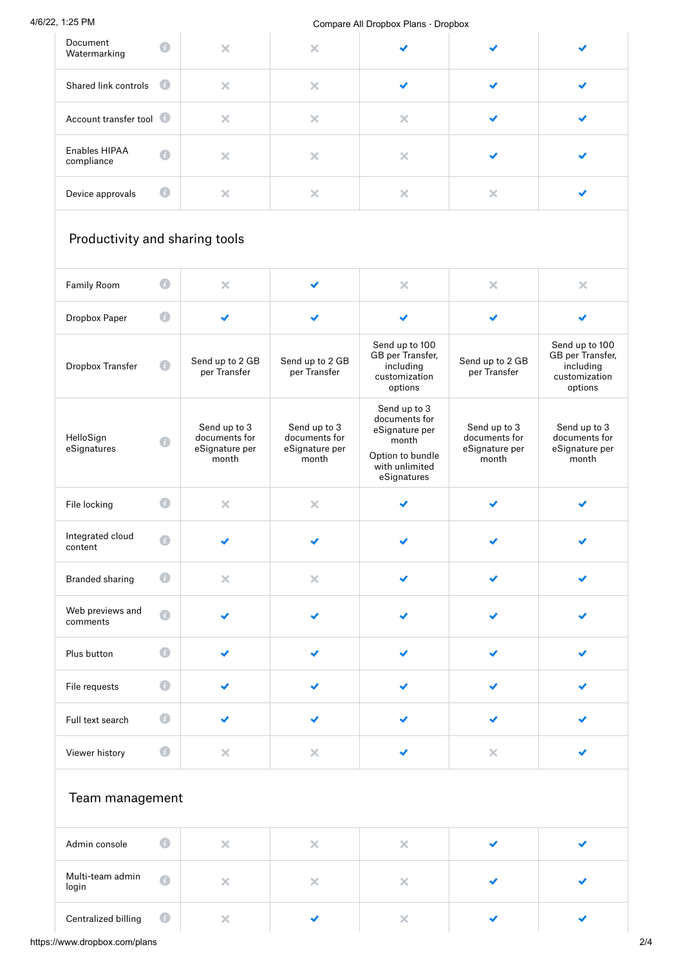|                                               |                |                                                          |                                                          | Compare All Dropbox Plans - Dropbox                                                                           |                                                          |                                                                             |
|-----------------------------------------------|----------------|----------------------------------------------------------|----------------------------------------------------------|---------------------------------------------------------------------------------------------------------------|----------------------------------------------------------|-----------------------------------------------------------------------------|
| Document<br>Watermarking                      | $\bigcirc$     | $\times$                                                 | $\pmb{\times}$                                           |                                                                                                               |                                                          |                                                                             |
| Shared link controls                          | $\overline{1}$ | $\times$                                                 | $\times$                                                 | ✔                                                                                                             |                                                          |                                                                             |
| Account transfer tool                         |                | $\times$                                                 | $\pmb{\times}$                                           | $\pmb{\times}$                                                                                                |                                                          |                                                                             |
| Enables HIPAA<br>compliance                   | $\bullet$      | $\pmb{\times}$                                           | $\times$                                                 | ×                                                                                                             |                                                          |                                                                             |
| Device approvals                              | $\bigcirc$     | $\pmb{\times}$                                           | $\pmb{\times}$                                           | $\pmb{\times}$                                                                                                | $\times$                                                 | ✔                                                                           |
| Productivity and sharing tools<br>Family Room | $\bigcirc$     | $\times$                                                 |                                                          | $\pmb{\times}$                                                                                                | $\times$                                                 | $\pmb{\times}$                                                              |
|                                               |                |                                                          |                                                          |                                                                                                               |                                                          |                                                                             |
| Dropbox Paper                                 | $\bigcirc$     | ✔                                                        | ✔                                                        | ✔                                                                                                             | ✔                                                        | ✔                                                                           |
| Dropbox Transfer                              | $\bigcirc$     | Send up to 2 GB<br>per Transfer                          | Send up to 2 GB<br>per Transfer                          | Send up to 100<br>GB per Transfer,<br>including<br>customization<br>options                                   | Send up to 2 GB<br>per Transfer                          | Send up to 100<br>GB per Transfer,<br>including<br>customization<br>options |
| HelloSign<br>eSignatures                      | $\bigcirc$     | Send up to 3<br>documents for<br>eSignature per<br>month | Send up to 3<br>documents for<br>eSignature per<br>month | Send up to 3<br>documents for<br>eSignature per<br>month<br>Option to bundle<br>with unlimited<br>eSignatures | Send up to 3<br>documents for<br>eSignature per<br>month | Send up to 3<br>documents for<br>eSignature per<br>month                    |
| File locking                                  | $\bullet$      | ×                                                        | ×                                                        |                                                                                                               |                                                          |                                                                             |
| Integrated cloud<br>content                   | $\bigcirc$     |                                                          | ✔                                                        | ✔                                                                                                             |                                                          |                                                                             |
| <b>Branded sharing</b>                        | $\bigcirc$     | $\pmb{\times}$                                           | $\mathsf{X}$                                             | ✔                                                                                                             | ✔                                                        | ✔                                                                           |
| Web previews and<br>comments                  | $\bullet$      |                                                          | ✔                                                        |                                                                                                               |                                                          |                                                                             |
|                                               |                |                                                          |                                                          |                                                                                                               |                                                          |                                                                             |

| Viewer history  | $\tilde{L}$ | × |
|-----------------|-------------|---|
| Team management |             |   |

 $\checkmark$ 

 $\bullet$ 

| Admin console             | $\mathcal{I}$ . |  |  |  |
|---------------------------|-----------------|--|--|--|
| Multi-team admin<br>login | $\bullet$       |  |  |  |
| Centralized billing       | $\bullet$       |  |  |  |

 $\checkmark$ 

 $\checkmark$ 

 $\checkmark$ 

 $\checkmark$ 

 $\overline{\mathsf{x}}$ 

 $\checkmark$ 

 $\checkmark$ 

https://www.dropbox.com/plans 2/4

Full text search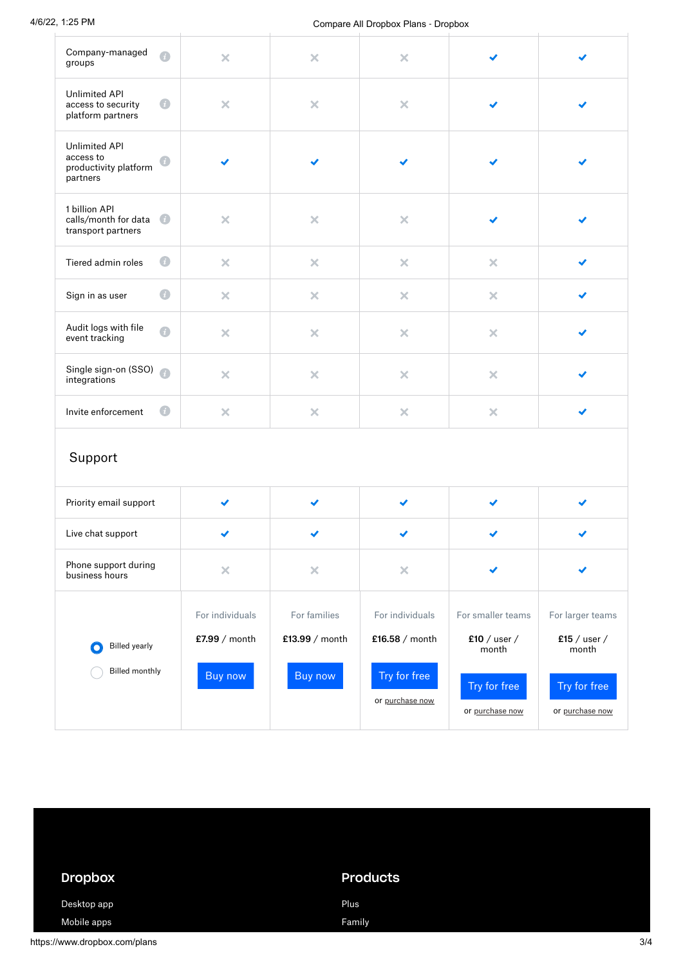#### 4/6/22, 1:25 PM Compare All Dropbox Plans ‐ Dropbox

| Company-managed<br>$\bullet$<br>groups                                              | $\pmb{\times}$                   | $\pmb{\times}$                 | $\times$                          |                                            |                                           |
|-------------------------------------------------------------------------------------|----------------------------------|--------------------------------|-----------------------------------|--------------------------------------------|-------------------------------------------|
| <b>Unlimited API</b><br>$\bigcirc$<br>access to security<br>platform partners       | $\pmb{\times}$                   | $\times$                       | $\times$                          |                                            |                                           |
| <b>Unlimited API</b><br>access to<br>$\bullet$<br>productivity platform<br>partners |                                  |                                |                                   |                                            |                                           |
| 1 billion API<br>$\left( 1\right)$<br>calls/month for data<br>transport partners    | $\times$                         | $\times$                       | $\pmb{\times}$                    | ✔                                          |                                           |
| $\bullet$<br>Tiered admin roles                                                     | $\times$                         | $\pmb{\times}$                 | $\pmb{\times}$                    | $\pmb{\times}$                             |                                           |
| $\bigcirc$<br>Sign in as user                                                       | $\pmb{\times}$                   | ×                              | $\pmb{\times}$                    | $\pmb{\times}$                             |                                           |
| Audit logs with file<br>$\bullet$<br>event tracking                                 | $\times$                         | $\pmb{\times}$                 | ×                                 | $\pmb{\times}$                             |                                           |
| Single sign-on (SSO)<br>integrations                                                | $\times$                         | $\pmb{\times}$                 | $\boldsymbol{\mathsf{x}}$         | $\times$                                   |                                           |
| $\bigcirc$<br>Invite enforcement                                                    | $\times$                         | $\pmb{\times}$                 | $\pmb{\times}$                    | $\pmb{\times}$                             |                                           |
| Support                                                                             |                                  |                                |                                   |                                            |                                           |
| Priority email support                                                              | ✔                                | ✔                              | ✔                                 | ✔                                          | ✔                                         |
| Live chat support                                                                   |                                  |                                |                                   |                                            |                                           |
| Phone support during<br>business hours                                              | $\pmb{\times}$                   | ×                              | $\times$                          |                                            |                                           |
| <b>Billed</b> yearly<br>0                                                           | For individuals<br>£7.99 / month | For families<br>£13.99 / month | For individuals<br>£16.58 / month | For smaller teams<br>£10 / user /<br>month | For larger teams<br>£15 / user /<br>month |
| <b>Billed monthly</b>                                                               | Buy now                          | Buy now                        | Try for free<br>or purchase now   | Try for free<br>or purchase now            | Try for free<br>or purchase now           |